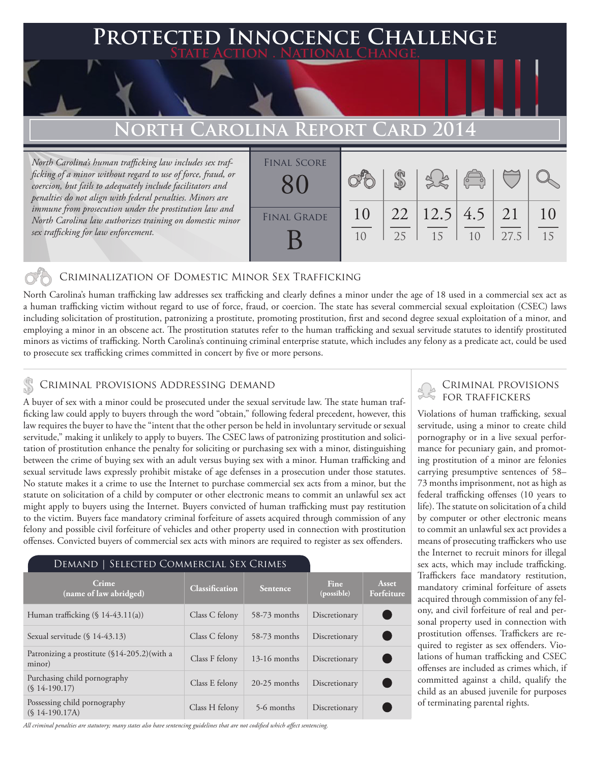### **FED INNOCENCE CHALLENGE State Action . National Change.**

## **North Carolina Report Card 2014**

*North Carolina's human trafficking law includes sex trafficking of a minor without regard to use of force, fraud, or coercion, but fails to adequately include facilitators and penalties do not align with federal penalties. Minors are immune from prosecution under the prostitution law and North Carolina law authorizes training on domestic minor sex trafficking for law enforcement.*

| <b>FINAL SCORE</b> |          |          |                     | $\begin{pmatrix} 0 & 0 \\ 0 & 0 \end{pmatrix}$ |      |          |
|--------------------|----------|----------|---------------------|------------------------------------------------|------|----------|
| <b>FINAL GRADE</b> | 10<br>10 | 22<br>25 | $12.5$ 4.5 21<br>15 | 10                                             | 27.5 | 10<br>15 |

#### Criminalization of Domestic Minor Sex Trafficking

North Carolina's human trafficking law addresses sex trafficking and clearly defines a minor under the age of 18 used in a commercial sex act as a human trafficking victim without regard to use of force, fraud, or coercion. The state has several commercial sexual exploitation (CSEC) laws including solicitation of prostitution, patronizing a prostitute, promoting prostitution, first and second degree sexual exploitation of a minor, and employing a minor in an obscene act. The prostitution statutes refer to the human trafficking and sexual servitude statutes to identify prostituted minors as victims of trafficking. North Carolina's continuing criminal enterprise statute, which includes any felony as a predicate act, could be used to prosecute sex trafficking crimes committed in concert by five or more persons.

## CRIMINAL PROVISIONS ADDRESSING DEMAND<br>FOR TRAFFICKERS \$ CRIMINAL PROVISIONS ADDRESSING DEMAND

A buyer of sex with a minor could be prosecuted under the sexual servitude law. The state human trafficking law could apply to buyers through the word "obtain," following federal precedent, however, this law requires the buyer to have the "intent that the other person be held in involuntary servitude or sexual servitude," making it unlikely to apply to buyers. The CSEC laws of patronizing prostitution and solicitation of prostitution enhance the penalty for soliciting or purchasing sex with a minor, distinguishing between the crime of buying sex with an adult versus buying sex with a minor. Human trafficking and sexual servitude laws expressly prohibit mistake of age defenses in a prosecution under those statutes. No statute makes it a crime to use the Internet to purchase commercial sex acts from a minor, but the statute on solicitation of a child by computer or other electronic means to commit an unlawful sex act might apply to buyers using the Internet. Buyers convicted of human trafficking must pay restitution to the victim. Buyers face mandatory criminal forfeiture of assets acquired through commission of any felony and possible civil forfeiture of vehicles and other property used in connection with prostitution offenses. Convicted buyers of commercial sex acts with minors are required to register as sex offenders.

#### Demand | Selected Commercial Sex Crimes

| Crime<br>(name of law abridged)                           | <b>Classification</b> | <b>Sentence</b> | <b>Fine</b><br>(possible) | Asset<br>Forfeiture |
|-----------------------------------------------------------|-----------------------|-----------------|---------------------------|---------------------|
| Human trafficking $(\S 14-43.11(a))$                      | Class C felony        | 58-73 months    | Discretionary             |                     |
| Sexual servitude $(\S 14-43.13)$                          | Class C felony        | 58-73 months    | Discretionary             |                     |
| Patronizing a prostitute $(\$14-205.2)$ (with a<br>minor) | Class F felony        | $13-16$ months  | Discretionary             |                     |
| Purchasing child pornography<br>$(S$ 14-190.17)           | Class E felony        | $20-25$ months  | Discretionary             |                     |
| Possessing child pornography<br>$(S14-190.17A)$           | Class H felony        | 5-6 months      | Discretionary             |                     |

*All criminal penalties are statutory; many states also have sentencing guidelines that are not codified which affect sentencing.* 

# Criminal provisions

Violations of human trafficking, sexual servitude, using a minor to create child pornography or in a live sexual performance for pecuniary gain, and promoting prostitution of a minor are felonies carrying presumptive sentences of 58– 73 months imprisonment, not as high as federal trafficking offenses (10 years to life). The statute on solicitation of a child by computer or other electronic means to commit an unlawful sex act provides a means of prosecuting traffickers who use the Internet to recruit minors for illegal sex acts, which may include trafficking. Traffickers face mandatory restitution, mandatory criminal forfeiture of assets acquired through commission of any felony, and civil forfeiture of real and personal property used in connection with prostitution offenses. Traffickers are required to register as sex offenders. Violations of human trafficking and CSEC offenses are included as crimes which, if committed against a child, qualify the child as an abused juvenile for purposes of terminating parental rights.